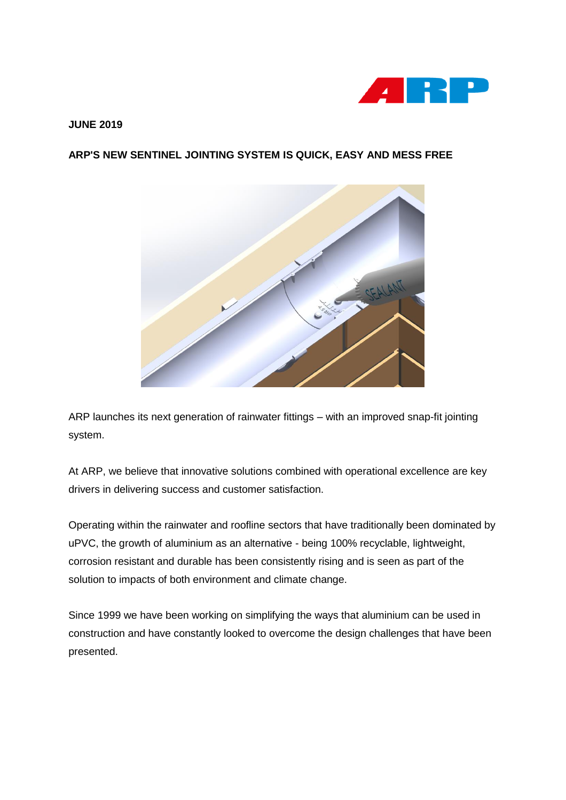

## **JUNE 2019**

## **ARP'S NEW SENTINEL JOINTING SYSTEM IS QUICK, EASY AND MESS FREE**



ARP launches its next generation of rainwater fittings – with an improved snap-fit jointing system.

At ARP, we believe that innovative solutions combined with operational excellence are key drivers in delivering success and customer satisfaction.

Operating within the rainwater and roofline sectors that have traditionally been dominated by uPVC, the growth of aluminium as an alternative - being 100% recyclable, lightweight, corrosion resistant and durable has been consistently rising and is seen as part of the solution to impacts of both environment and climate change.

Since 1999 we have been working on simplifying the ways that aluminium can be used in construction and have constantly looked to overcome the design challenges that have been presented.